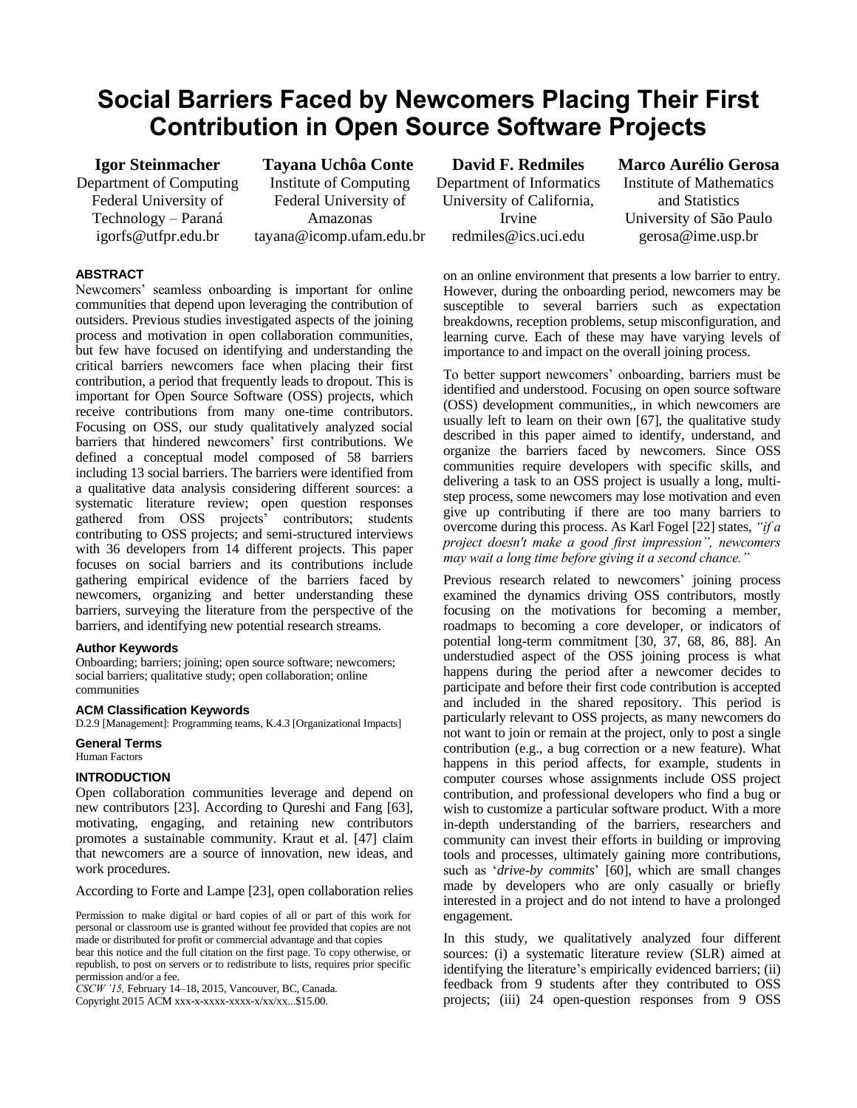# **Social Barriers Faced by Newcomers Placing Their First Contribution in Open Source Software Projects**

**Igor Steinmacher** Department of Computing Federal University of Technology – Paraná igorfs@utfpr.edu.br

**Tayana Uchôa Conte** Institute of Computing Federal University of Amazonas tayana@icomp.ufam.edu.br

## **ABSTRACT**

Newcomers' seamless onboarding is important for online communities that depend upon leveraging the contribution of outsiders. Previous studies investigated aspects of the joining process and motivation in open collaboration communities, but few have focused on identifying and understanding the critical barriers newcomers face when placing their first contribution, a period that frequently leads to dropout. This is important for Open Source Software (OSS) projects, which receive contributions from many one-time contributors. Focusing on OSS, our study qualitatively analyzed social barriers that hindered newcomers' first contributions. We defined a conceptual model composed of 58 barriers including 13 social barriers. The barriers were identified from a qualitative data analysis considering different sources: a systematic literature review; open question responses gathered from OSS projects' contributors; students contributing to OSS projects; and semi-structured interviews with 36 developers from 14 different projects. This paper focuses on social barriers and its contributions include gathering empirical evidence of the barriers faced by newcomers, organizing and better understanding these barriers, surveying the literature from the perspective of the barriers, and identifying new potential research streams.

#### **Author Keywords**

Onboarding; barriers; joining; open source software; newcomers; social barriers; qualitative study; open collaboration; online communities

#### **ACM Classification Keywords**

D.2.9 [Management]: Programming teams, K.4.3 [Organizational Impacts]

## **General Terms**

Human Factors

## **INTRODUCTION**

Open collaboration communities leverage and depend on new contributors [23]. According to Qureshi and Fang [63], motivating, engaging, and retaining new contributors promotes a sustainable community. Kraut et al. [47] claim that newcomers are a source of innovation, new ideas, and work procedures.

According to Forte and Lampe [23], open collaboration relies

Permission to make digital or hard copies of all or part of this work for personal or classroom use is granted without fee provided that copies are not made or distributed for profit or commercial advantage and that copies

bear this notice and the full citation on the first page. To copy otherwise, or republish, to post on servers or to redistribute to lists, requires prior specific permission and/or a fee.

*CSCW '15,* February 14–18, 2015, Vancouver, BC, Canada.

Copyright 2015 ACM xxx-x-xxxx-xxxx-x/xx/xx...\$15.00.

**David F. Redmiles** Department of Informatics University of California, Irvine redmiles@ics.uci.edu

**Marco Aurélio Gerosa** Institute of Mathematics and Statistics University of São Paulo gerosa@ime.usp.br

on an online environment that presents a low barrier to entry. However, during the onboarding period, newcomers may be susceptible to several barriers such as expectation breakdowns, reception problems, setup misconfiguration, and learning curve. Each of these may have varying levels of importance to and impact on the overall joining process.

To better support newcomers' onboarding, barriers must be identified and understood. Focusing on open source software (OSS) development communities,, in which newcomers are usually left to learn on their own [67], the qualitative study described in this paper aimed to identify, understand, and organize the barriers faced by newcomers. Since OSS communities require developers with specific skills, and delivering a task to an OSS project is usually a long, multistep process, some newcomers may lose motivation and even give up contributing if there are too many barriers to overcome during this process. As Karl Fogel [22] states, *"if a project doesn't make a good first impression", newcomers may wait a long time before giving it a second chance."*

Previous research related to newcomers' joining process examined the dynamics driving OSS contributors, mostly focusing on the motivations for becoming a member, roadmaps to becoming a core developer, or indicators of potential long-term commitment [30, 37, 68, 86, 88]. An understudied aspect of the OSS joining process is what happens during the period after a newcomer decides to participate and before their first code contribution is accepted and included in the shared repository. This period is particularly relevant to OSS projects, as many newcomers do not want to join or remain at the project, only to post a single contribution (e.g., a bug correction or a new feature). What happens in this period affects, for example, students in computer courses whose assignments include OSS project contribution, and professional developers who find a bug or wish to customize a particular software product. With a more in-depth understanding of the barriers, researchers and community can invest their efforts in building or improving tools and processes, ultimately gaining more contributions, such as '*drive-by commits*' [60], which are small changes made by developers who are only casually or briefly interested in a project and do not intend to have a prolonged engagement.

In this study, we qualitatively analyzed four different sources: (i) a systematic literature review (SLR) aimed at identifying the literature's empirically evidenced barriers; (ii) feedback from 9 students after they contributed to OSS projects; (iii) 24 open-question responses from 9 OSS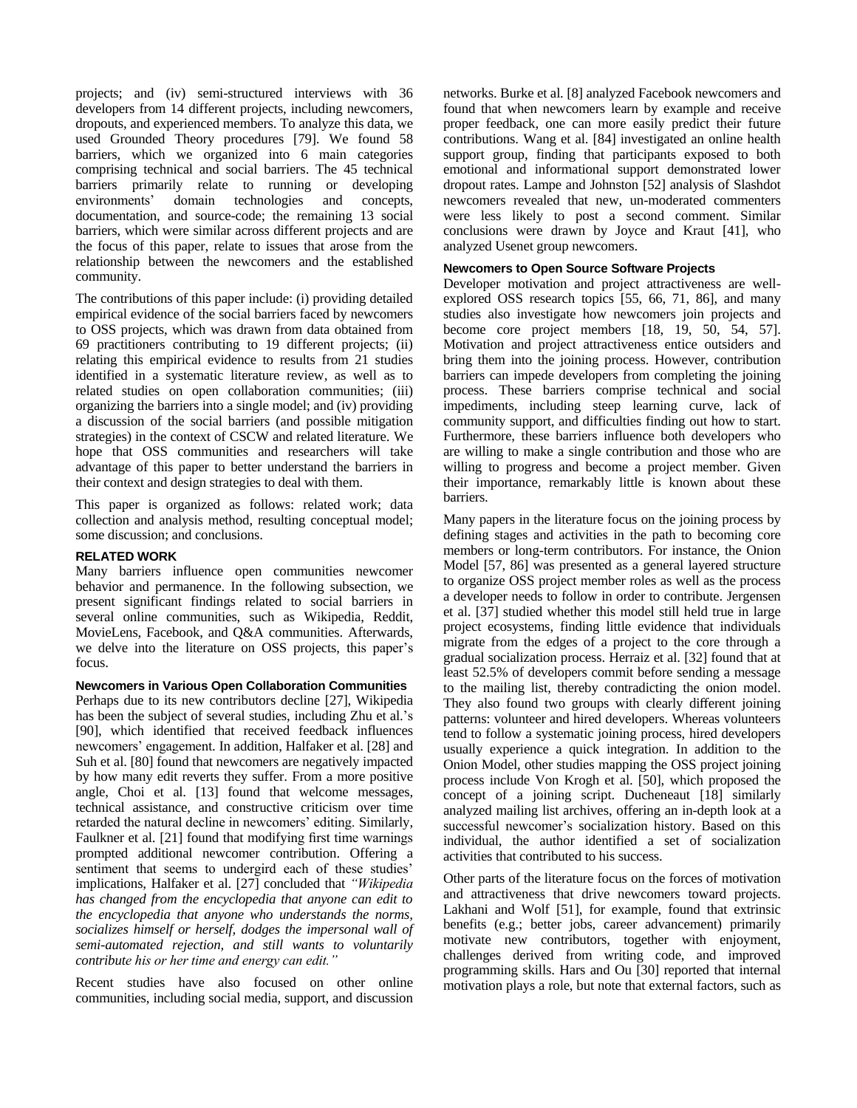projects; and (iv) semi-structured interviews with 36 developers from 14 different projects, including newcomers, dropouts, and experienced members. To analyze this data, we used Grounded Theory procedures [79]. We found 58 barriers, which we organized into 6 main categories comprising technical and social barriers. The 45 technical barriers primarily relate to running or developing environments' domain technologies and concepts, documentation, and source-code; the remaining 13 social barriers, which were similar across different projects and are the focus of this paper, relate to issues that arose from the relationship between the newcomers and the established community.

The contributions of this paper include: (i) providing detailed empirical evidence of the social barriers faced by newcomers to OSS projects, which was drawn from data obtained from 69 practitioners contributing to 19 different projects; (ii) relating this empirical evidence to results from 21 studies identified in a systematic literature review, as well as to related studies on open collaboration communities; (iii) organizing the barriers into a single model; and (iv) providing a discussion of the social barriers (and possible mitigation strategies) in the context of CSCW and related literature. We hope that OSS communities and researchers will take advantage of this paper to better understand the barriers in their context and design strategies to deal with them.

This paper is organized as follows: related work; data collection and analysis method, resulting conceptual model; some discussion; and conclusions.

#### **RELATED WORK**

Many barriers influence open communities newcomer behavior and permanence. In the following subsection, we present significant findings related to social barriers in several online communities, such as Wikipedia, Reddit, MovieLens, Facebook, and Q&A communities. Afterwards, we delve into the literature on OSS projects, this paper's focus.

## **Newcomers in Various Open Collaboration Communities**

Perhaps due to its new contributors decline [27], Wikipedia has been the subject of several studies, including Zhu et al.'s [90], which identified that received feedback influences newcomers' engagement. In addition, Halfaker et al. [28] and Suh et al. [80] found that newcomers are negatively impacted by how many edit reverts they suffer. From a more positive angle, Choi et al. [13] found that welcome messages, technical assistance, and constructive criticism over time retarded the natural decline in newcomers' editing. Similarly, Faulkner et al. [21] found that modifying first time warnings prompted additional newcomer contribution. Offering a sentiment that seems to undergird each of these studies' implications, Halfaker et al. [27] concluded that *"Wikipedia has changed from the encyclopedia that anyone can edit to the encyclopedia that anyone who understands the norms, socializes himself or herself, dodges the impersonal wall of semi-automated rejection, and still wants to voluntarily contribute his or her time and energy can edit."*

Recent studies have also focused on other online communities, including social media, support, and discussion networks. Burke et al. [8] analyzed Facebook newcomers and found that when newcomers learn by example and receive proper feedback, one can more easily predict their future contributions. Wang et al. [84] investigated an online health support group, finding that participants exposed to both emotional and informational support demonstrated lower dropout rates. Lampe and Johnston [52] analysis of Slashdot newcomers revealed that new, un-moderated commenters were less likely to post a second comment. Similar conclusions were drawn by Joyce and Kraut [41], who analyzed Usenet group newcomers.

## **Newcomers to Open Source Software Projects**

Developer motivation and project attractiveness are wellexplored OSS research topics [55, 66, 71, 86], and many studies also investigate how newcomers join projects and become core project members [18, 19, 50, 54, 57]. Motivation and project attractiveness entice outsiders and bring them into the joining process. However, contribution barriers can impede developers from completing the joining process. These barriers comprise technical and social impediments, including steep learning curve, lack of community support, and difficulties finding out how to start. Furthermore, these barriers influence both developers who are willing to make a single contribution and those who are willing to progress and become a project member. Given their importance, remarkably little is known about these barriers.

Many papers in the literature focus on the joining process by defining stages and activities in the path to becoming core members or long-term contributors. For instance, the Onion Model [57, 86] was presented as a general layered structure to organize OSS project member roles as well as the process a developer needs to follow in order to contribute. Jergensen et al. [37] studied whether this model still held true in large project ecosystems, finding little evidence that individuals migrate from the edges of a project to the core through a gradual socialization process. Herraiz et al. [32] found that at least 52.5% of developers commit before sending a message to the mailing list, thereby contradicting the onion model. They also found two groups with clearly different joining patterns: volunteer and hired developers. Whereas volunteers tend to follow a systematic joining process, hired developers usually experience a quick integration. In addition to the Onion Model, other studies mapping the OSS project joining process include Von Krogh et al. [50], which proposed the concept of a joining script. Ducheneaut [18] similarly analyzed mailing list archives, offering an in-depth look at a successful newcomer's socialization history. Based on this individual, the author identified a set of socialization activities that contributed to his success.

Other parts of the literature focus on the forces of motivation and attractiveness that drive newcomers toward projects. Lakhani and Wolf [51], for example, found that extrinsic benefits (e.g.; better jobs, career advancement) primarily motivate new contributors, together with enjoyment, challenges derived from writing code, and improved programming skills. Hars and Ou [30] reported that internal motivation plays a role, but note that external factors, such as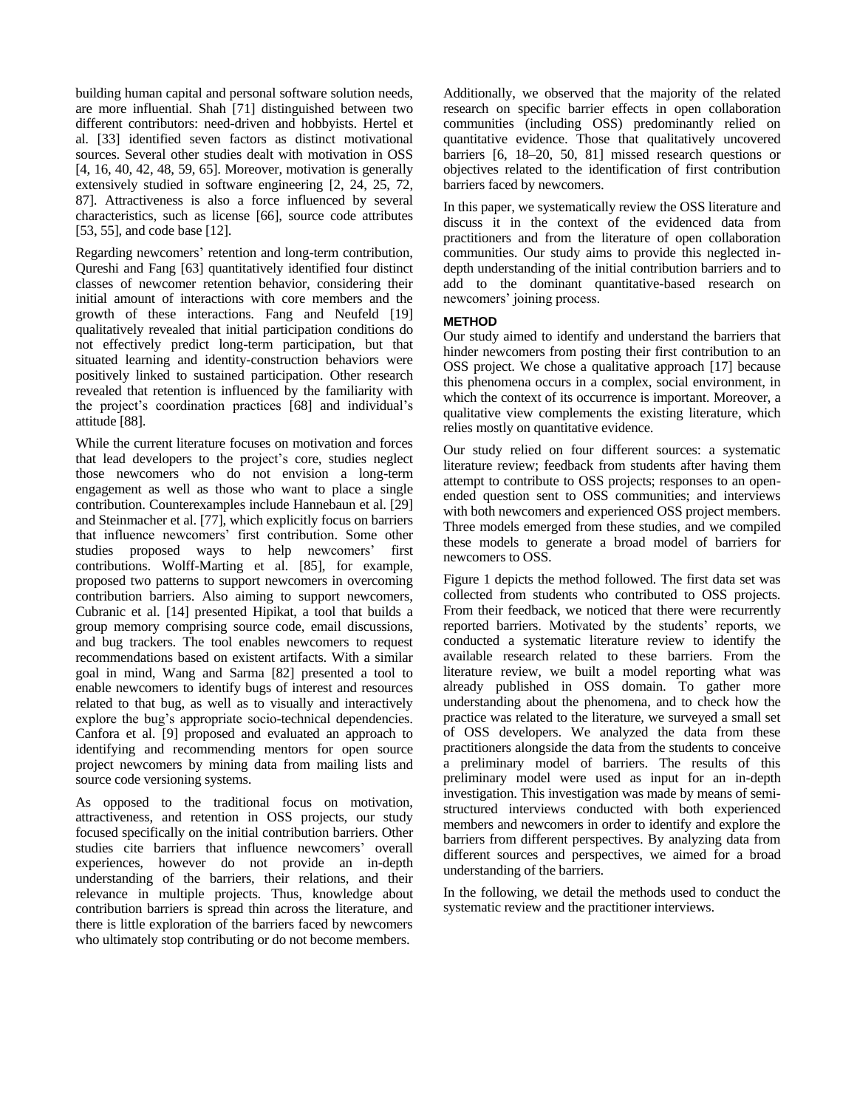building human capital and personal software solution needs, are more influential. Shah [71] distinguished between two different contributors: need-driven and hobbyists. Hertel et al. [33] identified seven factors as distinct motivational sources. Several other studies dealt with motivation in OSS [4, 16, 40, 42, 48, 59, 65]. Moreover, motivation is generally extensively studied in software engineering [2, 24, 25, 72, 87]. Attractiveness is also a force influenced by several characteristics, such as license [66], source code attributes [53, 55], and code base [12].

Regarding newcomers' retention and long-term contribution, Qureshi and Fang [63] quantitatively identified four distinct classes of newcomer retention behavior, considering their initial amount of interactions with core members and the growth of these interactions. Fang and Neufeld [19] qualitatively revealed that initial participation conditions do not effectively predict long-term participation, but that situated learning and identity-construction behaviors were positively linked to sustained participation. Other research revealed that retention is influenced by the familiarity with the project's coordination practices [68] and individual's attitude [88].

While the current literature focuses on motivation and forces that lead developers to the project's core, studies neglect those newcomers who do not envision a long-term engagement as well as those who want to place a single contribution. Counterexamples include Hannebaun et al. [29] and Steinmacher et al. [77], which explicitly focus on barriers that influence newcomers' first contribution. Some other studies proposed ways to help newcomers' first contributions. Wolff-Marting et al. [85], for example, proposed two patterns to support newcomers in overcoming contribution barriers. Also aiming to support newcomers, Cubranic et al. [14] presented Hipikat, a tool that builds a group memory comprising source code, email discussions, and bug trackers. The tool enables newcomers to request recommendations based on existent artifacts. With a similar goal in mind, Wang and Sarma [82] presented a tool to enable newcomers to identify bugs of interest and resources related to that bug, as well as to visually and interactively explore the bug's appropriate socio-technical dependencies. Canfora et al. [9] proposed and evaluated an approach to identifying and recommending mentors for open source project newcomers by mining data from mailing lists and source code versioning systems.

As opposed to the traditional focus on motivation, attractiveness, and retention in OSS projects, our study focused specifically on the initial contribution barriers. Other studies cite barriers that influence newcomers' overall experiences, however do not provide an in-depth understanding of the barriers, their relations, and their relevance in multiple projects. Thus, knowledge about contribution barriers is spread thin across the literature, and there is little exploration of the barriers faced by newcomers who ultimately stop contributing or do not become members.

Additionally, we observed that the majority of the related research on specific barrier effects in open collaboration communities (including OSS) predominantly relied on quantitative evidence. Those that qualitatively uncovered barriers [6, 18–20, 50, 81] missed research questions or objectives related to the identification of first contribution barriers faced by newcomers.

In this paper, we systematically review the OSS literature and discuss it in the context of the evidenced data from practitioners and from the literature of open collaboration communities. Our study aims to provide this neglected indepth understanding of the initial contribution barriers and to add to the dominant quantitative-based research on newcomers' joining process.

## **METHOD**

Our study aimed to identify and understand the barriers that hinder newcomers from posting their first contribution to an OSS project. We chose a qualitative approach [17] because this phenomena occurs in a complex, social environment, in which the context of its occurrence is important. Moreover, a qualitative view complements the existing literature, which relies mostly on quantitative evidence.

Our study relied on four different sources: a systematic literature review; feedback from students after having them attempt to contribute to OSS projects; responses to an openended question sent to OSS communities; and interviews with both newcomers and experienced OSS project members. Three models emerged from these studies, and we compiled these models to generate a broad model of barriers for newcomers to OSS.

[Figure 1](#page-3-0) depicts the method followed. The first data set was collected from students who contributed to OSS projects. From their feedback, we noticed that there were recurrently reported barriers. Motivated by the students' reports, we conducted a systematic literature review to identify the available research related to these barriers. From the literature review, we built a model reporting what was already published in OSS domain. To gather more understanding about the phenomena, and to check how the practice was related to the literature, we surveyed a small set of OSS developers. We analyzed the data from these practitioners alongside the data from the students to conceive a preliminary model of barriers. The results of this preliminary model were used as input for an in-depth investigation. This investigation was made by means of semistructured interviews conducted with both experienced members and newcomers in order to identify and explore the barriers from different perspectives. By analyzing data from different sources and perspectives, we aimed for a broad understanding of the barriers.

In the following, we detail the methods used to conduct the systematic review and the practitioner interviews.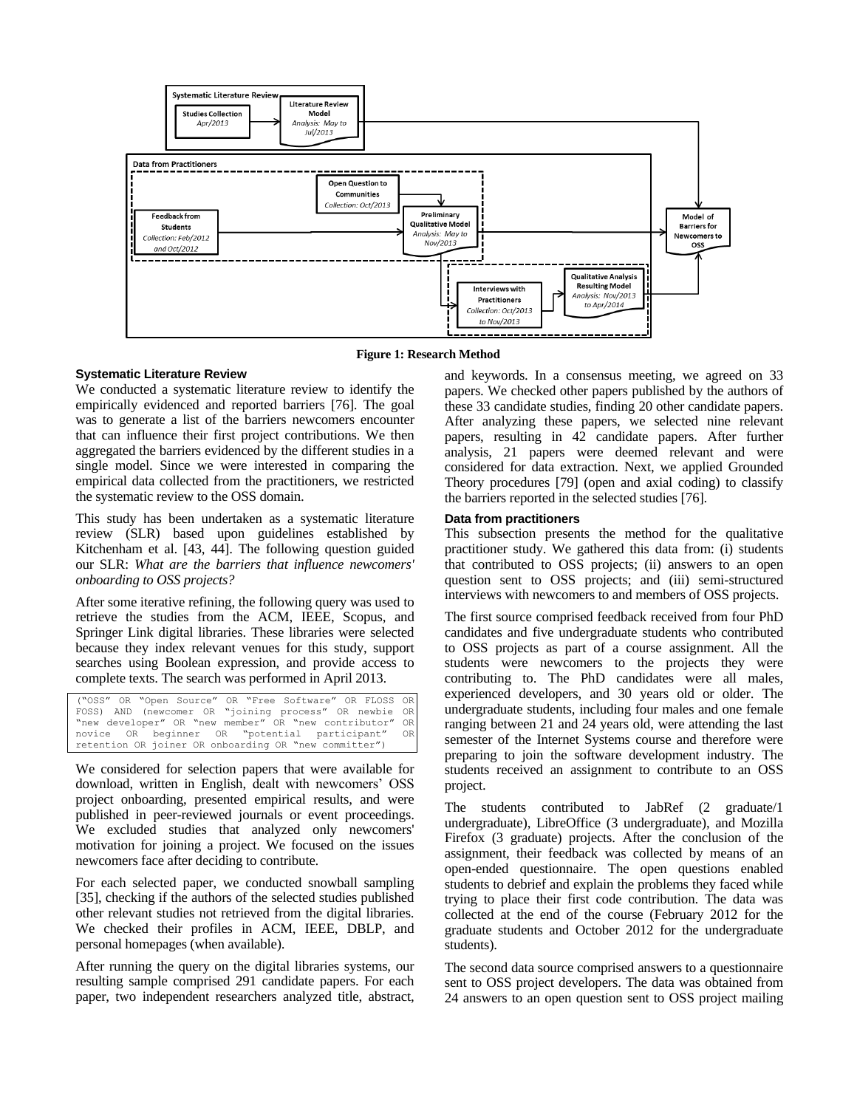

**Figure 1: Research Method**

## <span id="page-3-0"></span>**Systematic Literature Review**

We conducted a systematic literature review to identify the empirically evidenced and reported barriers [76]. The goal was to generate a list of the barriers newcomers encounter that can influence their first project contributions. We then aggregated the barriers evidenced by the different studies in a single model. Since we were interested in comparing the empirical data collected from the practitioners, we restricted the systematic review to the OSS domain.

This study has been undertaken as a systematic literature review (SLR) based upon guidelines established by Kitchenham et al. [43, 44]. The following question guided our SLR: *What are the barriers that influence newcomers' onboarding to OSS projects?* 

After some iterative refining, the following query was used to retrieve the studies from the ACM, IEEE, Scopus, and Springer Link digital libraries. These libraries were selected because they index relevant venues for this study, support searches using Boolean expression, and provide access to complete texts. The search was performed in April 2013.

("OSS" OR "Open Source" OR "Free Software" OR FLOSS OR FOSS) AND (newcomer OR "joining process" OR newbie OR "new developer" OR "new member" OR "new contributor" OR novice OR beginner OR "potential participant" OR retention OR joiner OR onboarding OR "new committer")

We considered for selection papers that were available for download, written in English, dealt with newcomers' OSS project onboarding, presented empirical results, and were published in peer-reviewed journals or event proceedings. We excluded studies that analyzed only newcomers' motivation for joining a project. We focused on the issues newcomers face after deciding to contribute.

For each selected paper, we conducted snowball sampling [35], checking if the authors of the selected studies published other relevant studies not retrieved from the digital libraries. We checked their profiles in ACM, IEEE, DBLP, and personal homepages (when available).

After running the query on the digital libraries systems, our resulting sample comprised 291 candidate papers. For each paper, two independent researchers analyzed title, abstract,

and keywords. In a consensus meeting, we agreed on 33 papers. We checked other papers published by the authors of these 33 candidate studies, finding 20 other candidate papers. After analyzing these papers, we selected nine relevant papers, resulting in 42 candidate papers. After further analysis, 21 papers were deemed relevant and were considered for data extraction. Next, we applied Grounded Theory procedures [79] (open and axial coding) to classify the barriers reported in the selected studies [76].

## **Data from practitioners**

This subsection presents the method for the qualitative practitioner study. We gathered this data from: (i) students that contributed to OSS projects; (ii) answers to an open question sent to OSS projects; and (iii) semi-structured interviews with newcomers to and members of OSS projects.

The first source comprised feedback received from four PhD candidates and five undergraduate students who contributed to OSS projects as part of a course assignment. All the students were newcomers to the projects they were contributing to. The PhD candidates were all males, experienced developers, and 30 years old or older. The undergraduate students, including four males and one female ranging between 21 and 24 years old, were attending the last semester of the Internet Systems course and therefore were preparing to join the software development industry. The students received an assignment to contribute to an OSS project.

The students contributed to JabRef (2 graduate/1 undergraduate), LibreOffice (3 undergraduate), and Mozilla Firefox (3 graduate) projects. After the conclusion of the assignment, their feedback was collected by means of an open-ended questionnaire. The open questions enabled students to debrief and explain the problems they faced while trying to place their first code contribution. The data was collected at the end of the course (February 2012 for the graduate students and October 2012 for the undergraduate students).

The second data source comprised answers to a questionnaire sent to OSS project developers. The data was obtained from 24 answers to an open question sent to OSS project mailing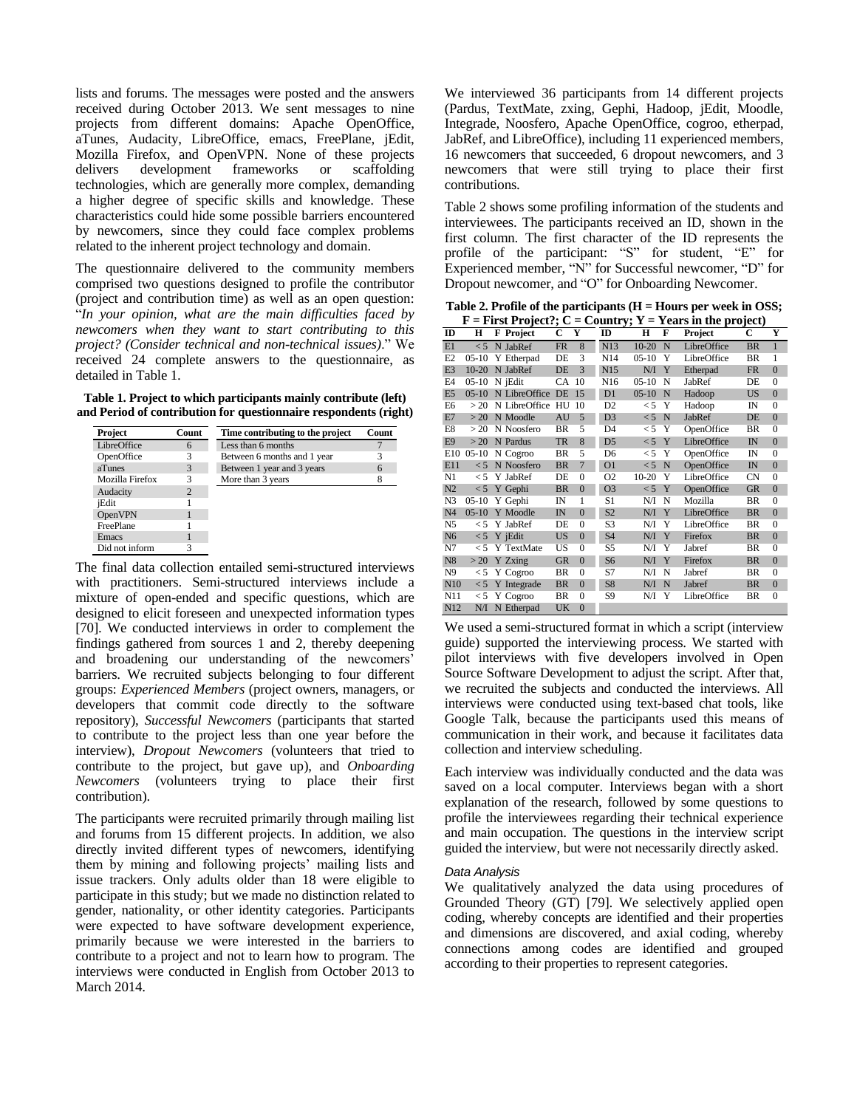lists and forums. The messages were posted and the answers received during October 2013. We sent messages to nine projects from different domains: Apache OpenOffice, aTunes, Audacity, LibreOffice, emacs, FreePlane, jEdit, Mozilla Firefox, and OpenVPN. None of these projects delivers development frameworks or scaffolding technologies, which are generally more complex, demanding a higher degree of specific skills and knowledge. These characteristics could hide some possible barriers encountered by newcomers, since they could face complex problems related to the inherent project technology and domain.

The questionnaire delivered to the community members comprised two questions designed to profile the contributor (project and contribution time) as well as an open question: "*In your opinion, what are the main difficulties faced by newcomers when they want to start contributing to this project? (Consider technical and non-technical issues)*." We received 24 complete answers to the questionnaire, as detailed in [Table 1.](#page-4-0)

<span id="page-4-0"></span>**Table 1. Project to which participants mainly contribute (left) and Period of contribution for questionnaire respondents (right)**

| Project                | Count          | Time contributing to the project | <b>Count</b> |  |
|------------------------|----------------|----------------------------------|--------------|--|
| LibreOffice            | 6              | Less than 6 months               |              |  |
| OpenOffice             | 3              | Between 6 months and 1 year      | 3            |  |
| aTunes                 | 3              | Between 1 year and 3 years       | 6            |  |
| <b>Mozilla Firefox</b> | 3              | More than 3 years                |              |  |
| Audacity               | $\mathfrak{D}$ |                                  |              |  |
| jEdit                  |                |                                  |              |  |
| OpenVPN                |                |                                  |              |  |
| FreePlane              |                |                                  |              |  |
| Emacs                  |                |                                  |              |  |
| Did not inform         |                |                                  |              |  |

The final data collection entailed semi-structured interviews with practitioners. Semi-structured interviews include a mixture of open-ended and specific questions, which are designed to elicit foreseen and unexpected information types [70]. We conducted interviews in order to complement the findings gathered from sources 1 and 2, thereby deepening and broadening our understanding of the newcomers' barriers. We recruited subjects belonging to four different groups: *Experienced Members* (project owners, managers, or developers that commit code directly to the software repository), *Successful Newcomers* (participants that started to contribute to the project less than one year before the interview), *Dropout Newcomers* (volunteers that tried to contribute to the project, but gave up), and *Onboarding Newcomers* (volunteers trying to place their first contribution).

The participants were recruited primarily through mailing list and forums from 15 different projects. In addition, we also directly invited different types of newcomers, identifying them by mining and following projects' mailing lists and issue trackers. Only adults older than 18 were eligible to participate in this study; but we made no distinction related to gender, nationality, or other identity categories. Participants were expected to have software development experience, primarily because we were interested in the barriers to contribute to a project and not to learn how to program. The interviews were conducted in English from October 2013 to March 2014.

We interviewed 36 participants from 14 different projects (Pardus, TextMate, zxing, Gephi, Hadoop, jEdit, Moodle, Integrade, Noosfero, Apache OpenOffice, cogroo, etherpad, JabRef, and LibreOffice), including 11 experienced members, 16 newcomers that succeeded, 6 dropout newcomers, and 3 newcomers that were still trying to place their first contributions.

[Table 2](#page-4-1) shows some profiling information of the students and interviewees. The participants received an ID, shown in the first column. The first character of the ID represents the profile of the participant: "S" for student, "E" for Experienced member, "N" for Successful newcomer, "D" for Dropout newcomer, and "O" for Onboarding Newcomer.

<span id="page-4-1"></span>**Table 2. Profile of the participants (H = Hours per week in OSS; F = First Project?; C = Country; Y = Years in the project)**

| $\mathbf{r} = \mathbf{r}$ if $\mathbf{s}$ if $\mathbf{r} = \mathbf{r}$ really $\mathbf{s}$ is $\mathbf{r} = \mathbf{r}$ and $\mathbf{s}$ in the project) |           |  |                  |           |                |                 |           |   |             |           |                |
|----------------------------------------------------------------------------------------------------------------------------------------------------------|-----------|--|------------------|-----------|----------------|-----------------|-----------|---|-------------|-----------|----------------|
| ID                                                                                                                                                       | Н         |  | <b>F</b> Project | C         | Y              | $\mathbf{ID}$   | Н         | F | Project     | С         | Y              |
| E1                                                                                                                                                       | < 5       |  | N JabRef         | <b>FR</b> | 8              | N13             | $10 - 20$ | N | LibreOffice | <b>BR</b> | 1              |
| E2                                                                                                                                                       | $05-10$   |  | Y Etherpad       | DE        | 3              | N14             | $05-10$   | Y | LibreOffice | BR        | 1              |
| E <sub>3</sub>                                                                                                                                           | $10 - 20$ |  | N JabRef         | <b>DE</b> | 3              | N15             | N/I       | Y | Etherpad    | <b>FR</b> | $\overline{0}$ |
| E4                                                                                                                                                       | $05-10$   |  | N jEdit          | CA        | 10             | N <sub>16</sub> | $05-10$   | N | JabRef      | DE        | $\overline{0}$ |
| E <sub>5</sub>                                                                                                                                           | $05-10$   |  | N LibreOffice    | DE        | 15             | D1              | $05-10$   | N | Hadoop      | <b>US</b> | $\overline{0}$ |
| E <sub>6</sub>                                                                                                                                           | > 20      |  | N LibreOffice    | HU        | 10             | D <sub>2</sub>  | $\leq 5$  | Y | Hadoop      | IN        | 0              |
| E7                                                                                                                                                       | >20       |  | N Moodle         | AU        | 5              | D <sub>3</sub>  | $\leq 5$  | N | JabRef      | DE        | $\overline{0}$ |
| E8                                                                                                                                                       | >20       |  | N Noosfero       | BR        | 5              | D <sub>4</sub>  | < 5       | Y | OpenOffice  | BR        | $\overline{0}$ |
| E <sub>9</sub>                                                                                                                                           | >20       |  | N Pardus         | <b>TR</b> | 8              | D <sub>5</sub>  | < 5       | Y | LibreOffice | IN        | $\overline{0}$ |
| E10                                                                                                                                                      | $05-10$   |  | N Cogroo         | BR        | 5              | D <sub>6</sub>  | < 5       | Y | OpenOffice  | IN        | 0              |
| E11                                                                                                                                                      | < 5       |  | N Noosfero       | <b>BR</b> | $\overline{7}$ | O <sub>1</sub>  | < 5       | N | OpenOffice  | IN        | $\overline{0}$ |
| N1                                                                                                                                                       | $\leq 5$  |  | Y JabRef         | DE        | $\mathbf{0}$   | O <sub>2</sub>  | 10-20     | Y | LibreOffice | <b>CN</b> | $\overline{0}$ |
| N2                                                                                                                                                       | $\leq 5$  |  | Y Gephi          | <b>BR</b> | $\mathbf{0}$   | O <sub>3</sub>  | < 5       | Y | OpenOffice  | <b>GR</b> | $\overline{0}$ |
| N3                                                                                                                                                       | $05-10$   |  | Y Gephi          | IN        | 1              | S1              | N/I       | N | Mozilla     | BR        | $\Omega$       |
| N <sub>4</sub>                                                                                                                                           | $05-10$   |  | Y Moodle         | IN        | $\overline{0}$ | S <sub>2</sub>  | N/I       | Y | LibreOffice | <b>BR</b> | $\overline{0}$ |
| N <sub>5</sub>                                                                                                                                           | $\leq 5$  |  | Y JabRef         | DE        | $\mathbf{0}$   | S3              | N/I       | Y | LibreOffice | BR        | $\overline{0}$ |
| N <sub>6</sub>                                                                                                                                           | < 5       |  | Y jEdit          | <b>US</b> | $\overline{0}$ | S4              | N/I       | Y | Firefox     | <b>BR</b> | $\overline{0}$ |
| N7                                                                                                                                                       | $\leq 5$  |  | Y TextMate       | US        | $\Omega$       | S5              | N/I       | Y | Jabref      | BR        | $\Omega$       |
| N8                                                                                                                                                       | >20       |  | Y Zxing          | <b>GR</b> | $\overline{0}$ | S <sub>6</sub>  | N/I       | Y | Firefox     | BR        | $\overline{0}$ |
| N9                                                                                                                                                       | $\leq 5$  |  | Y Cogroo         | BR        | $\mathbf{0}$   | S7              | N/I       | N | Jabref      | BR        | 0              |
| N10                                                                                                                                                      | < 5       |  | Y Integrade      | <b>BR</b> | $\overline{0}$ | S <sub>8</sub>  | N/I       | N | Jabref      | <b>BR</b> | $\overline{0}$ |
| N11                                                                                                                                                      | $\leq 5$  |  | Y Cogroo         | BR        | $\mathbf{0}$   | S9              | N/I       | Y | LibreOffice | BR        | $\Omega$       |
| N <sub>12</sub>                                                                                                                                          | N/I       |  | N Etherpad       | UK        | $\overline{0}$ |                 |           |   |             |           |                |

We used a semi-structured format in which a script (interview guide) supported the interviewing process. We started with pilot interviews with five developers involved in Open Source Software Development to adjust the script. After that, we recruited the subjects and conducted the interviews. All interviews were conducted using text-based chat tools, like Google Talk, because the participants used this means of communication in their work, and because it facilitates data collection and interview scheduling.

Each interview was individually conducted and the data was saved on a local computer. Interviews began with a short explanation of the research, followed by some questions to profile the interviewees regarding their technical experience and main occupation. The questions in the interview script guided the interview, but were not necessarily directly asked.

## *Data Analysis*

We qualitatively analyzed the data using procedures of Grounded Theory (GT) [79]. We selectively applied open coding, whereby concepts are identified and their properties and dimensions are discovered, and axial coding, whereby connections among codes are identified and grouped according to their properties to represent categories.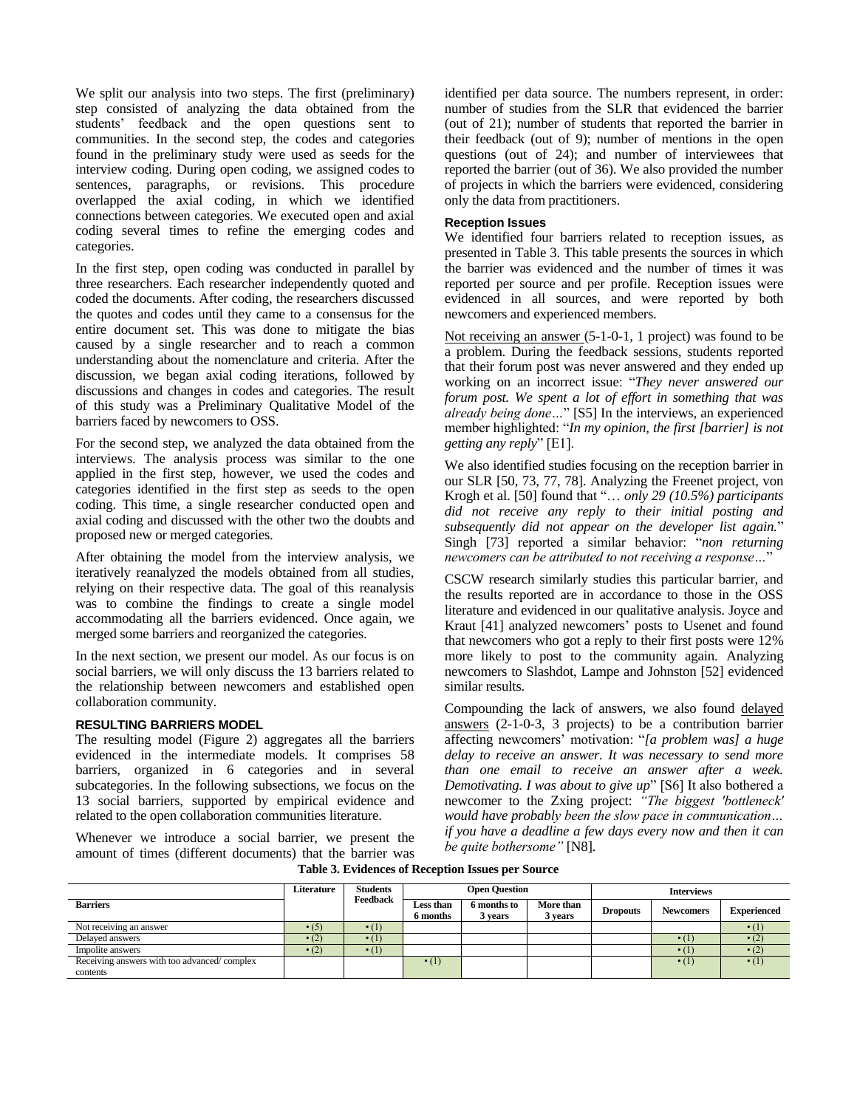We split our analysis into two steps. The first (preliminary) step consisted of analyzing the data obtained from the students' feedback and the open questions sent to communities. In the second step, the codes and categories found in the preliminary study were used as seeds for the interview coding. During open coding, we assigned codes to sentences, paragraphs, or revisions. This procedure overlapped the axial coding, in which we identified connections between categories. We executed open and axial coding several times to refine the emerging codes and categories.

In the first step, open coding was conducted in parallel by three researchers. Each researcher independently quoted and coded the documents. After coding, the researchers discussed the quotes and codes until they came to a consensus for the entire document set. This was done to mitigate the bias caused by a single researcher and to reach a common understanding about the nomenclature and criteria. After the discussion, we began axial coding iterations, followed by discussions and changes in codes and categories. The result of this study was a Preliminary Qualitative Model of the barriers faced by newcomers to OSS.

For the second step, we analyzed the data obtained from the interviews. The analysis process was similar to the one applied in the first step, however, we used the codes and categories identified in the first step as seeds to the open coding. This time, a single researcher conducted open and axial coding and discussed with the other two the doubts and proposed new or merged categories.

After obtaining the model from the interview analysis, we iteratively reanalyzed the models obtained from all studies, relying on their respective data. The goal of this reanalysis was to combine the findings to create a single model accommodating all the barriers evidenced. Once again, we merged some barriers and reorganized the categories.

In the next section, we present our model. As our focus is on social barriers, we will only discuss the 13 barriers related to the relationship between newcomers and established open collaboration community.

## **RESULTING BARRIERS MODEL**

The resulting model [\(Figure 2\)](#page-6-0) aggregates all the barriers evidenced in the intermediate models. It comprises 58 barriers, organized in 6 categories and in several subcategories. In the following subsections, we focus on the 13 social barriers, supported by empirical evidence and related to the open collaboration communities literature.

Whenever we introduce a social barrier, we present the amount of times (different documents) that the barrier was

identified per data source. The numbers represent, in order: number of studies from the SLR that evidenced the barrier (out of 21); number of students that reported the barrier in their feedback (out of 9); number of mentions in the open questions (out of 24); and number of interviewees that reported the barrier (out of 36). We also provided the number of projects in which the barriers were evidenced, considering only the data from practitioners.

## **Reception Issues**

We identified four barriers related to reception issues, as presented in [Table 3.](#page-5-0) This table presents the sources in which the barrier was evidenced and the number of times it was reported per source and per profile. Reception issues were evidenced in all sources, and were reported by both newcomers and experienced members.

Not receiving an answer (5-1-0-1, 1 project) was found to be a problem. During the feedback sessions, students reported that their forum post was never answered and they ended up working on an incorrect issue: "*They never answered our forum post. We spent a lot of effort in something that was already being done…*" [S5] In the interviews, an experienced member highlighted: "*In my opinion, the first [barrier] is not getting any reply*" [E1].

We also identified studies focusing on the reception barrier in our SLR [50, 73, 77, 78]. Analyzing the Freenet project, von Krogh et al. [50] found that "… *only 29 (10.5%) participants did not receive any reply to their initial posting and subsequently did not appear on the developer list again.*" Singh [73] reported a similar behavior: "*non returning newcomers can be attributed to not receiving a response…*"

CSCW research similarly studies this particular barrier, and the results reported are in accordance to those in the OSS literature and evidenced in our qualitative analysis. Joyce and Kraut [41] analyzed newcomers' posts to Usenet and found that newcomers who got a reply to their first posts were 12% more likely to post to the community again. Analyzing newcomers to Slashdot, Lampe and Johnston [52] evidenced similar results.

Compounding the lack of answers, we also found delayed answers (2-1-0-3, 3 projects) to be a contribution barrier affecting newcomers' motivation: "*[a problem was] a huge delay to receive an answer. It was necessary to send more than one email to receive an answer after a week. Demotivating. I was about to give up*" [S6] It also bothered a newcomer to the Zxing project: *"The biggest 'bottleneck' would have probably been the slow pace in communication… if you have a deadline a few days every now and then it can be quite bothersome"* [N8].

**Table 3. Evidences of Reception Issues per Source**

<span id="page-5-0"></span>

|                                                         | Literature  | <b>Students</b><br>Feedback |                       | <b>Open Question</b>   |                      | <b>Interviews</b> |                  |                    |
|---------------------------------------------------------|-------------|-----------------------------|-----------------------|------------------------|----------------------|-------------------|------------------|--------------------|
| <b>Barriers</b>                                         |             |                             | Less than<br>6 months | 6 months to<br>3 vears | More than<br>3 years | <b>Dropouts</b>   | <b>Newcomers</b> | <b>Experienced</b> |
| Not receiving an answer                                 |             | $\bullet$ (1                |                       |                        |                      |                   |                  | $\cdot$ (1)        |
| Delayed answers                                         |             | $\cdot$ C                   |                       |                        |                      |                   |                  | $\cdot$ (2)        |
| Impolite answers                                        | $\cdot$ (2) | $\cdot$ (1)                 |                       |                        |                      |                   | $\cdot$ (1)      | $\cdot$ (2)        |
| Receiving answers with too advanced/complex<br>contents |             |                             | $\cdot$ (1)           |                        |                      |                   | $\cdot$ (1)      | $\cdot$ (1)        |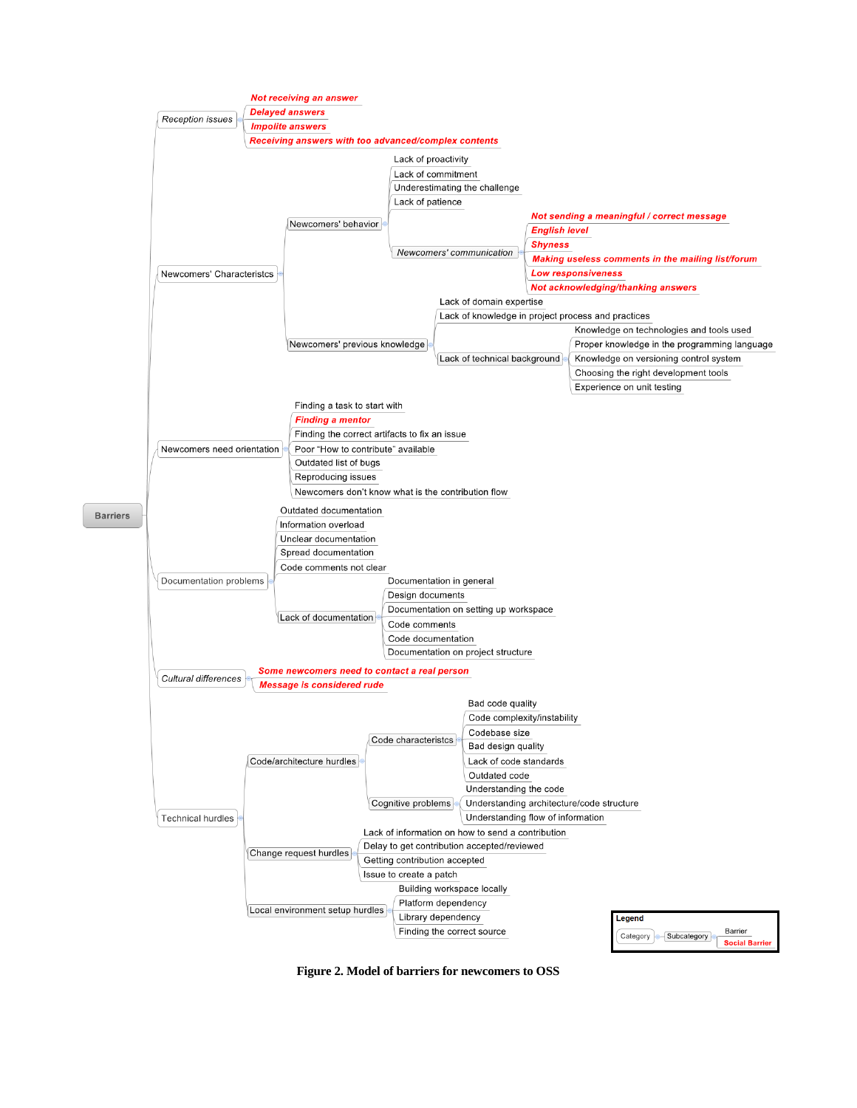

<span id="page-6-0"></span>**Figure 2. Model of barriers for newcomers to OSS**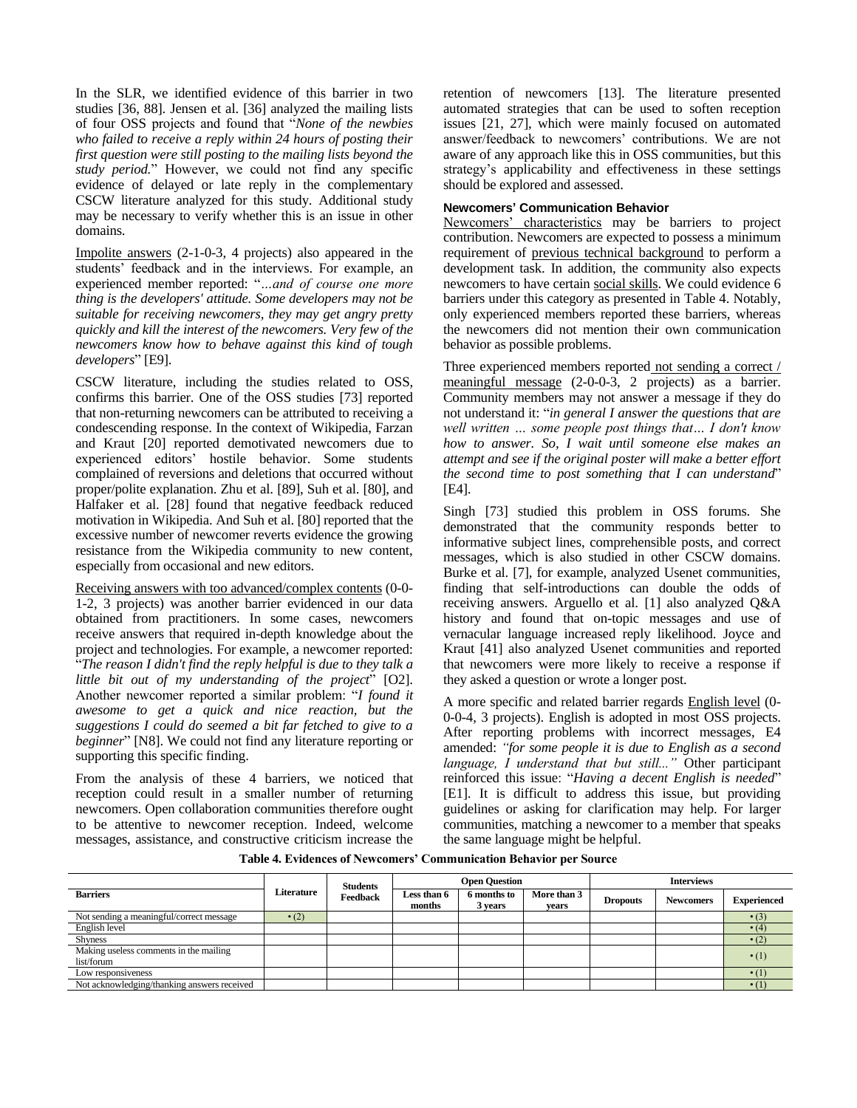In the SLR, we identified evidence of this barrier in two studies [36, 88]. Jensen et al. [36] analyzed the mailing lists of four OSS projects and found that "*None of the newbies who failed to receive a reply within 24 hours of posting their first question were still posting to the mailing lists beyond the study period.*" However, we could not find any specific evidence of delayed or late reply in the complementary CSCW literature analyzed for this study. Additional study may be necessary to verify whether this is an issue in other domains.

Impolite answers (2-1-0-3, 4 projects) also appeared in the students' feedback and in the interviews. For example, an experienced member reported: "*…and of course one more thing is the developers' attitude. Some developers may not be suitable for receiving newcomers, they may get angry pretty quickly and kill the interest of the newcomers. Very few of the newcomers know how to behave against this kind of tough developers*" [E9].

CSCW literature, including the studies related to OSS, confirms this barrier. One of the OSS studies [73] reported that non-returning newcomers can be attributed to receiving a condescending response. In the context of Wikipedia, Farzan and Kraut [20] reported demotivated newcomers due to experienced editors' hostile behavior. Some students complained of reversions and deletions that occurred without proper/polite explanation. Zhu et al. [89], Suh et al. [80], and Halfaker et al. [28] found that negative feedback reduced motivation in Wikipedia. And Suh et al. [80] reported that the excessive number of newcomer reverts evidence the growing resistance from the Wikipedia community to new content, especially from occasional and new editors.

Receiving answers with too advanced/complex contents (0-0- 1-2, 3 projects) was another barrier evidenced in our data obtained from practitioners. In some cases, newcomers receive answers that required in-depth knowledge about the project and technologies. For example, a newcomer reported: "*The reason I didn't find the reply helpful is due to they talk a little bit out of my understanding of the project*" [O2]. Another newcomer reported a similar problem: "*I found it awesome to get a quick and nice reaction, but the suggestions I could do seemed a bit far fetched to give to a beginner*" [N8]. We could not find any literature reporting or supporting this specific finding.

From the analysis of these 4 barriers, we noticed that reception could result in a smaller number of returning newcomers. Open collaboration communities therefore ought to be attentive to newcomer reception. Indeed, welcome messages, assistance, and constructive criticism increase the

retention of newcomers [13]. The literature presented automated strategies that can be used to soften reception issues [21, 27], which were mainly focused on automated answer/feedback to newcomers' contributions. We are not aware of any approach like this in OSS communities, but this strategy's applicability and effectiveness in these settings should be explored and assessed.

### **Newcomers' Communication Behavior**

Newcomers' characteristics may be barriers to project contribution. Newcomers are expected to possess a minimum requirement of previous technical background to perform a development task. In addition, the community also expects newcomers to have certain social skills. We could evidence 6 barriers under this category as presented in [Table 4.](#page-7-0) Notably, only experienced members reported these barriers, whereas the newcomers did not mention their own communication behavior as possible problems.

Three experienced members reported not sending a correct / meaningful message (2-0-0-3, 2 projects) as a barrier. Community members may not answer a message if they do not understand it: "*in general I answer the questions that are well written … some people post things that… I don't know how to answer. So, I wait until someone else makes an attempt and see if the original poster will make a better effort the second time to post something that I can understand*" [E4].

Singh [73] studied this problem in OSS forums. She demonstrated that the community responds better to informative subject lines, comprehensible posts, and correct messages, which is also studied in other CSCW domains. Burke et al. [7], for example, analyzed Usenet communities, finding that self-introductions can double the odds of receiving answers. Arguello et al. [1] also analyzed Q&A history and found that on-topic messages and use of vernacular language increased reply likelihood. Joyce and Kraut [41] also analyzed Usenet communities and reported that newcomers were more likely to receive a response if they asked a question or wrote a longer post.

A more specific and related barrier regards English level (0- 0-0-4, 3 projects). English is adopted in most OSS projects. After reporting problems with incorrect messages, E4 amended: *"for some people it is due to English as a second language, I understand that but still..."* Other participant reinforced this issue: "*Having a decent English is needed*" [E1]. It is difficult to address this issue, but providing guidelines or asking for clarification may help. For larger communities, matching a newcomer to a member that speaks the same language might be helpful.

<span id="page-7-0"></span>

|                                             |             | <b>Students</b><br>Feedback |                       | <b>Open Question</b>   |                      | <b>Interviews</b> |                  |                    |
|---------------------------------------------|-------------|-----------------------------|-----------------------|------------------------|----------------------|-------------------|------------------|--------------------|
| <b>Barriers</b>                             | Literature  |                             | Less than 6<br>months | 6 months to<br>3 years | More than 3<br>vears | <b>Dropouts</b>   | <b>Newcomers</b> | <b>Experienced</b> |
| Not sending a meaningful/correct message    | $\cdot$ (2) |                             |                       |                        |                      |                   |                  | $\cdot$ (3)        |
| English level                               |             |                             |                       |                        |                      |                   |                  | $\cdot$ (4)        |
| <b>Shyness</b>                              |             |                             |                       |                        |                      |                   |                  | $\cdot$ (2)        |
| Making useless comments in the mailing      |             |                             |                       |                        |                      |                   |                  |                    |
| list/forum                                  |             |                             |                       |                        |                      |                   |                  | $\cdot$ (1)        |
| Low responsiveness                          |             |                             |                       |                        |                      |                   |                  | $\cdot$ (1)        |
| Not acknowledging/thanking answers received |             |                             |                       |                        |                      |                   |                  | $\cdot$ (1)        |

**Table 4. Evidences of Newcomers' Communication Behavior per Source**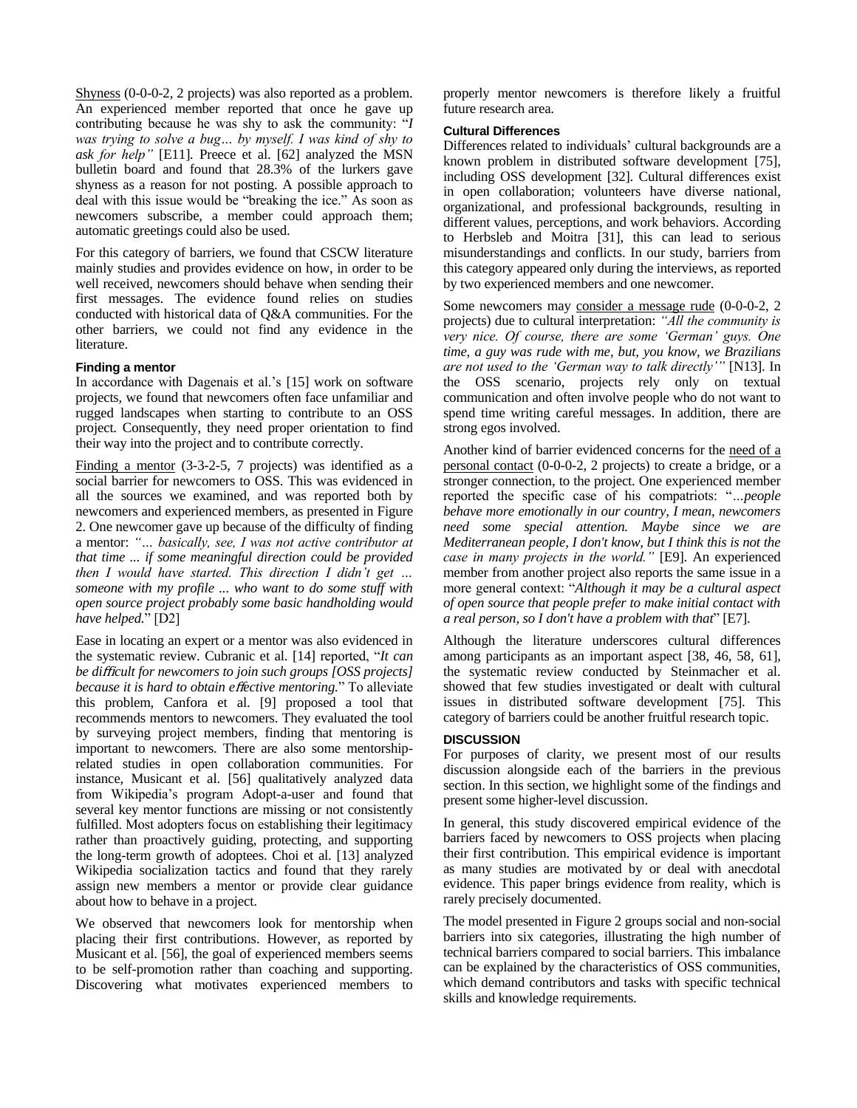Shyness (0-0-0-2, 2 projects) was also reported as a problem. An experienced member reported that once he gave up contributing because he was shy to ask the community: "*I was trying to solve a bug… by myself. I was kind of shy to ask for help"* [E11]*.* Preece et al. [62] analyzed the MSN bulletin board and found that 28.3% of the lurkers gave shyness as a reason for not posting. A possible approach to deal with this issue would be "breaking the ice." As soon as newcomers subscribe, a member could approach them; automatic greetings could also be used.

For this category of barriers, we found that CSCW literature mainly studies and provides evidence on how, in order to be well received, newcomers should behave when sending their first messages. The evidence found relies on studies conducted with historical data of Q&A communities. For the other barriers, we could not find any evidence in the literature.

#### **Finding a mentor**

In accordance with Dagenais et al.'s [15] work on software projects, we found that newcomers often face unfamiliar and rugged landscapes when starting to contribute to an OSS project. Consequently, they need proper orientation to find their way into the project and to contribute correctly.

Finding a mentor (3-3-2-5, 7 projects) was identified as a social barrier for newcomers to OSS. This was evidenced in all the sources we examined, and was reported both by newcomers and experienced members, as presented in [Figure](#page-6-0)  [2.](#page-6-0) One newcomer gave up because of the difficulty of finding a mentor: *"… basically, see, I was not active contributor at that time ... if some meaningful direction could be provided then I would have started. This direction I didn't get … someone with my profile ... who want to do some stuff with open source project probably some basic handholding would have helped.*" [D2]

Ease in locating an expert or a mentor was also evidenced in the systematic review. Cubranic et al. [14] reported, "*It can be di*ffi*cult for newcomers to join such groups [OSS projects] because it is hard to obtain e*ff*ective mentoring.*" To alleviate this problem, Canfora et al. [9] proposed a tool that recommends mentors to newcomers. They evaluated the tool by surveying project members, finding that mentoring is important to newcomers. There are also some mentorshiprelated studies in open collaboration communities. For instance, Musicant et al. [56] qualitatively analyzed data from Wikipedia's program Adopt-a-user and found that several key mentor functions are missing or not consistently fulfilled. Most adopters focus on establishing their legitimacy rather than proactively guiding, protecting, and supporting the long-term growth of adoptees. Choi et al. [13] analyzed Wikipedia socialization tactics and found that they rarely assign new members a mentor or provide clear guidance about how to behave in a project.

We observed that newcomers look for mentorship when placing their first contributions. However, as reported by Musicant et al. [56], the goal of experienced members seems to be self-promotion rather than coaching and supporting. Discovering what motivates experienced members to properly mentor newcomers is therefore likely a fruitful future research area.

## **Cultural Differences**

Differences related to individuals' cultural backgrounds are a known problem in distributed software development [75], including OSS development [32]. Cultural differences exist in open collaboration; volunteers have diverse national, organizational, and professional backgrounds, resulting in different values, perceptions, and work behaviors. According to Herbsleb and Moitra [31], this can lead to serious misunderstandings and conflicts. In our study, barriers from this category appeared only during the interviews, as reported by two experienced members and one newcomer.

Some newcomers may consider a message rude (0-0-0-2, 2 projects) due to cultural interpretation: *"All the community is very nice. Of course, there are some 'German' guys. One time, a guy was rude with me, but, you know, we Brazilians are not used to the 'German way to talk directly'"* [N13]. In the OSS scenario, projects rely only on textual communication and often involve people who do not want to spend time writing careful messages. In addition, there are strong egos involved.

Another kind of barrier evidenced concerns for the need of a personal contact (0-0-0-2, 2 projects) to create a bridge, or a stronger connection, to the project. One experienced member reported the specific case of his compatriots: "*…people behave more emotionally in our country, I mean, newcomers need some special attention. Maybe since we are Mediterranean people, I don't know, but I think this is not the case in many projects in the world."* [E9]. An experienced member from another project also reports the same issue in a more general context: "*Although it may be a cultural aspect of open source that people prefer to make initial contact with a real person, so I don't have a problem with that*" [E7].

Although the literature underscores cultural differences among participants as an important aspect [38, 46, 58, 61], the systematic review conducted by Steinmacher et al. showed that few studies investigated or dealt with cultural issues in distributed software development [75]. This category of barriers could be another fruitful research topic.

## **DISCUSSION**

For purposes of clarity, we present most of our results discussion alongside each of the barriers in the previous section. In this section, we highlight some of the findings and present some higher-level discussion.

In general, this study discovered empirical evidence of the barriers faced by newcomers to OSS projects when placing their first contribution. This empirical evidence is important as many studies are motivated by or deal with anecdotal evidence. This paper brings evidence from reality, which is rarely precisely documented.

The model presented in [Figure 2](#page-6-0) groups social and non-social barriers into six categories, illustrating the high number of technical barriers compared to social barriers. This imbalance can be explained by the characteristics of OSS communities, which demand contributors and tasks with specific technical skills and knowledge requirements.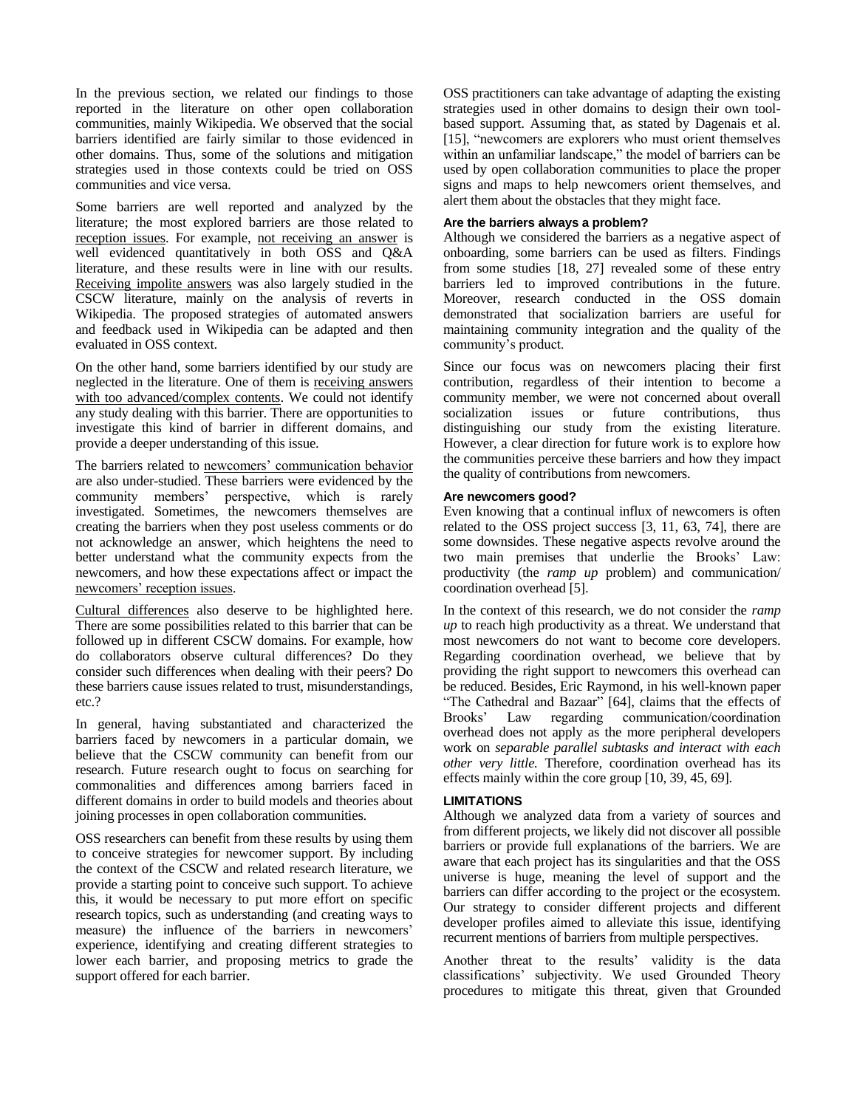In the previous section, we related our findings to those reported in the literature on other open collaboration communities, mainly Wikipedia. We observed that the social barriers identified are fairly similar to those evidenced in other domains. Thus, some of the solutions and mitigation strategies used in those contexts could be tried on OSS communities and vice versa.

Some barriers are well reported and analyzed by the literature; the most explored barriers are those related to reception issues. For example, not receiving an answer is well evidenced quantitatively in both OSS and Q&A literature, and these results were in line with our results. Receiving impolite answers was also largely studied in the CSCW literature, mainly on the analysis of reverts in Wikipedia. The proposed strategies of automated answers and feedback used in Wikipedia can be adapted and then evaluated in OSS context.

On the other hand, some barriers identified by our study are neglected in the literature. One of them is receiving answers with too advanced/complex contents. We could not identify any study dealing with this barrier. There are opportunities to investigate this kind of barrier in different domains, and provide a deeper understanding of this issue.

The barriers related to newcomers' communication behavior are also under-studied. These barriers were evidenced by the community members' perspective, which is rarely investigated. Sometimes, the newcomers themselves are creating the barriers when they post useless comments or do not acknowledge an answer, which heightens the need to better understand what the community expects from the newcomers, and how these expectations affect or impact the newcomers' reception issues.

Cultural differences also deserve to be highlighted here. There are some possibilities related to this barrier that can be followed up in different CSCW domains. For example, how do collaborators observe cultural differences? Do they consider such differences when dealing with their peers? Do these barriers cause issues related to trust, misunderstandings, etc.?

In general, having substantiated and characterized the barriers faced by newcomers in a particular domain, we believe that the CSCW community can benefit from our research. Future research ought to focus on searching for commonalities and differences among barriers faced in different domains in order to build models and theories about joining processes in open collaboration communities.

OSS researchers can benefit from these results by using them to conceive strategies for newcomer support. By including the context of the CSCW and related research literature, we provide a starting point to conceive such support. To achieve this, it would be necessary to put more effort on specific research topics, such as understanding (and creating ways to measure) the influence of the barriers in newcomers' experience, identifying and creating different strategies to lower each barrier, and proposing metrics to grade the support offered for each barrier.

OSS practitioners can take advantage of adapting the existing strategies used in other domains to design their own toolbased support. Assuming that, as stated by Dagenais et al. [15], "newcomers are explorers who must orient themselves within an unfamiliar landscape," the model of barriers can be used by open collaboration communities to place the proper signs and maps to help newcomers orient themselves, and alert them about the obstacles that they might face.

## **Are the barriers always a problem?**

Although we considered the barriers as a negative aspect of onboarding, some barriers can be used as filters. Findings from some studies [18, 27] revealed some of these entry barriers led to improved contributions in the future. Moreover, research conducted in the OSS domain demonstrated that socialization barriers are useful for maintaining community integration and the quality of the community's product.

Since our focus was on newcomers placing their first contribution, regardless of their intention to become a community member, we were not concerned about overall socialization issues or future contributions, thus distinguishing our study from the existing literature. However, a clear direction for future work is to explore how the communities perceive these barriers and how they impact the quality of contributions from newcomers.

#### **Are newcomers good?**

Even knowing that a continual influx of newcomers is often related to the OSS project success [3, 11, 63, 74], there are some downsides. These negative aspects revolve around the two main premises that underlie the Brooks' Law: productivity (the *ramp up* problem) and communication/ coordination overhead [5].

In the context of this research, we do not consider the *ramp up* to reach high productivity as a threat. We understand that most newcomers do not want to become core developers. Regarding coordination overhead, we believe that by providing the right support to newcomers this overhead can be reduced. Besides, Eric Raymond, in his well-known paper "The Cathedral and Bazaar" [64], claims that the effects of Brooks' Law regarding communication/coordination overhead does not apply as the more peripheral developers work on *separable parallel subtasks and interact with each other very little.* Therefore, coordination overhead has its effects mainly within the core group [10, 39, 45, 69].

#### **LIMITATIONS**

Although we analyzed data from a variety of sources and from different projects, we likely did not discover all possible barriers or provide full explanations of the barriers. We are aware that each project has its singularities and that the OSS universe is huge, meaning the level of support and the barriers can differ according to the project or the ecosystem. Our strategy to consider different projects and different developer profiles aimed to alleviate this issue, identifying recurrent mentions of barriers from multiple perspectives.

Another threat to the results' validity is the data classifications' subjectivity. We used Grounded Theory procedures to mitigate this threat, given that Grounded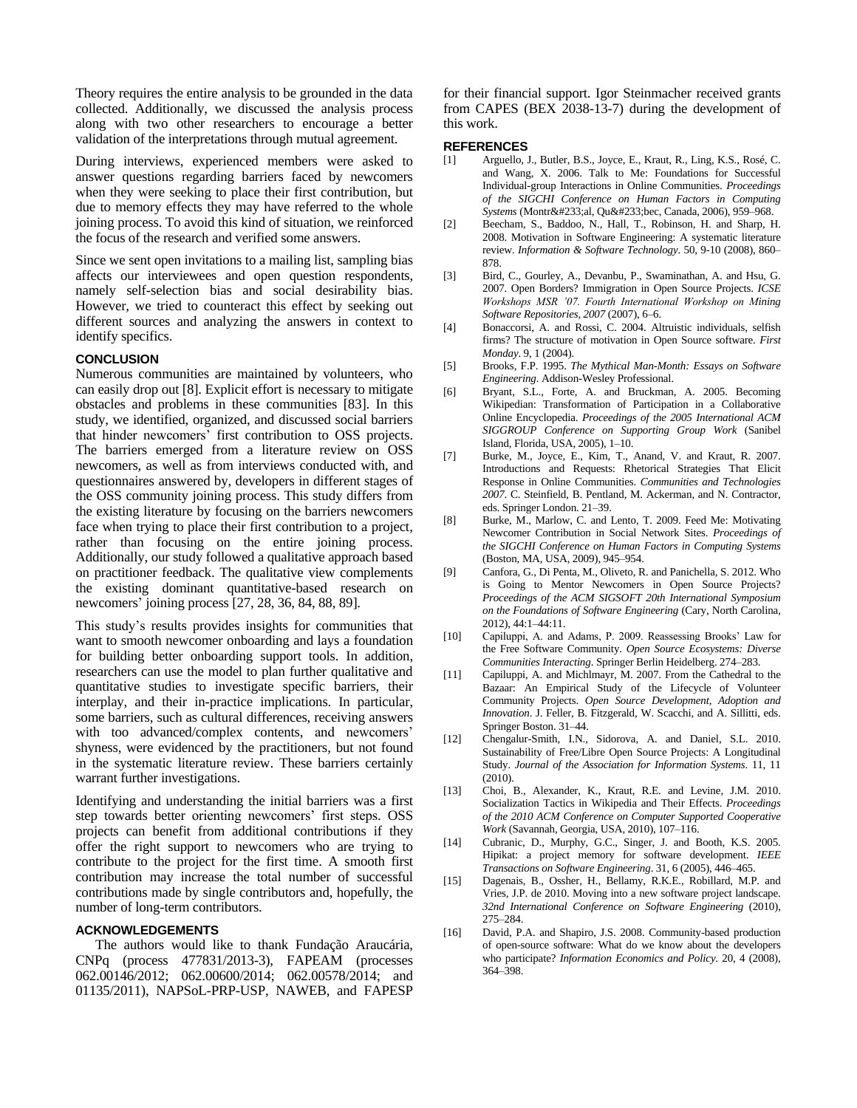Theory requires the entire analysis to be grounded in the data collected. Additionally, we discussed the analysis process along with two other researchers to encourage a better validation of the interpretations through mutual agreement.

During interviews, experienced members were asked to answer questions regarding barriers faced by newcomers when they were seeking to place their first contribution, but due to memory effects they may have referred to the whole joining process. To avoid this kind of situation, we reinforced the focus of the research and verified some answers.

Since we sent open invitations to a mailing list, sampling bias affects our interviewees and open question respondents, namely self-selection bias and social desirability bias. However, we tried to counteract this effect by seeking out different sources and analyzing the answers in context to identify specifics.

#### **CONCLUSION**

Numerous communities are maintained by volunteers, who can easily drop out [8]. Explicit effort is necessary to mitigate obstacles and problems in these communities [83]. In this study, we identified, organized, and discussed social barriers that hinder newcomers' first contribution to OSS projects. The barriers emerged from a literature review on OSS newcomers, as well as from interviews conducted with, and questionnaires answered by, developers in different stages of the OSS community joining process. This study differs from the existing literature by focusing on the barriers newcomers face when trying to place their first contribution to a project, rather than focusing on the entire joining process. Additionally, our study followed a qualitative approach based on practitioner feedback. The qualitative view complements the existing dominant quantitative-based research on newcomers' joining process [27, 28, 36, 84, 88, 89].

This study's results provides insights for communities that want to smooth newcomer onboarding and lays a foundation for building better onboarding support tools. In addition, researchers can use the model to plan further qualitative and quantitative studies to investigate specific barriers, their interplay, and their in-practice implications. In particular, some barriers, such as cultural differences, receiving answers with too advanced/complex contents, and newcomers' shyness, were evidenced by the practitioners, but not found in the systematic literature review. These barriers certainly warrant further investigations.

Identifying and understanding the initial barriers was a first step towards better orienting newcomers' first steps. OSS projects can benefit from additional contributions if they offer the right support to newcomers who are trying to contribute to the project for the first time. A smooth first contribution may increase the total number of successful contributions made by single contributors and, hopefully, the number of long-term contributors.

#### **ACKNOWLEDGEMENTS**

The authors would like to thank Fundação Araucária, CNPq (process 477831/2013-3), FAPEAM (processes 062.00146/2012; 062.00600/2014; 062.00578/2014; and 01135/2011), NAPSoL-PRP-USP, NAWEB, and FAPESP for their financial support. Igor Steinmacher received grants from CAPES (BEX 2038-13-7) during the development of this work.

#### **REFERENCES**

- [1] Arguello, J., Butler, B.S., Joyce, E., Kraut, R., Ling, K.S., Rosé, C. and Wang, X. 2006. Talk to Me: Foundations for Successful Individual-group Interactions in Online Communities. *Proceedings of the SIGCHI Conference on Human Factors in Computing Systems* (Montréal, Québec, Canada, 2006), 959-968.
- [2] Beecham, S., Baddoo, N., Hall, T., Robinson, H. and Sharp, H. 2008. Motivation in Software Engineering: A systematic literature review. *Information & Software Technology*. 50, 9-10 (2008), 860– 878.
- [3] Bird, C., Gourley, A., Devanbu, P., Swaminathan, A. and Hsu, G. 2007. Open Borders? Immigration in Open Source Projects. *ICSE Workshops MSR '07. Fourth International Workshop on Mining Software Repositories, 2007* (2007), 6–6.
- [4] Bonaccorsi, A. and Rossi, C. 2004. Altruistic individuals, selfish firms? The structure of motivation in Open Source software. *First Monday*. 9, 1 (2004).
- [5] Brooks, F.P. 1995. *The Mythical Man-Month: Essays on Software Engineering*. Addison-Wesley Professional.
- [6] Bryant, S.L., Forte, A. and Bruckman, A. 2005. Becoming Wikipedian: Transformation of Participation in a Collaborative Online Encyclopedia. *Proceedings of the 2005 International ACM SIGGROUP Conference on Supporting Group Work* (Sanibel Island, Florida, USA, 2005), 1–10.
- [7] Burke, M., Joyce, E., Kim, T., Anand, V. and Kraut, R. 2007. Introductions and Requests: Rhetorical Strategies That Elicit Response in Online Communities. *Communities and Technologies 2007*. C. Steinfield, B. Pentland, M. Ackerman, and N. Contractor, eds. Springer London. 21–39.
- [8] Burke, M., Marlow, C. and Lento, T. 2009. Feed Me: Motivating Newcomer Contribution in Social Network Sites. *Proceedings of the SIGCHI Conference on Human Factors in Computing Systems* (Boston, MA, USA, 2009), 945–954.
- [9] Canfora, G., Di Penta, M., Oliveto, R. and Panichella, S. 2012. Who is Going to Mentor Newcomers in Open Source Projects? *Proceedings of the ACM SIGSOFT 20th International Symposium on the Foundations of Software Engineering* (Cary, North Carolina, 2012), 44:1–44:11.
- [10] Capiluppi, A. and Adams, P. 2009. Reassessing Brooks' Law for the Free Software Community. *Open Source Ecosystems: Diverse Communities Interacting*. Springer Berlin Heidelberg. 274–283.
- [11] Capiluppi, A. and Michlmayr, M. 2007. From the Cathedral to the Bazaar: An Empirical Study of the Lifecycle of Volunteer Community Projects. *Open Source Development, Adoption and Innovation*. J. Feller, B. Fitzgerald, W. Scacchi, and A. Sillitti, eds. Springer Boston. 31–44.
- [12] Chengalur-Smith, I.N., Sidorova, A. and Daniel, S.L. 2010. Sustainability of Free/Libre Open Source Projects: A Longitudinal Study. *Journal of the Association for Information Systems*. 11, 11 (2010).
- [13] Choi, B., Alexander, K., Kraut, R.E. and Levine, J.M. 2010. Socialization Tactics in Wikipedia and Their Effects. *Proceedings of the 2010 ACM Conference on Computer Supported Cooperative Work* (Savannah, Georgia, USA, 2010), 107–116.
- [14] Cubranic, D., Murphy, G.C., Singer, J. and Booth, K.S. 2005. Hipikat: a project memory for software development. *IEEE Transactions on Software Engineering*. 31, 6 (2005), 446–465.
- [15] Dagenais, B., Ossher, H., Bellamy, R.K.E., Robillard, M.P. and Vries, J.P. de 2010. Moving into a new software project landscape. *32nd International Conference on Software Engineering* (2010), 275–284.
- [16] David, P.A. and Shapiro, J.S. 2008. Community-based production of open-source software: What do we know about the developers who participate? *Information Economics and Policy*. 20, 4 (2008), 364–398.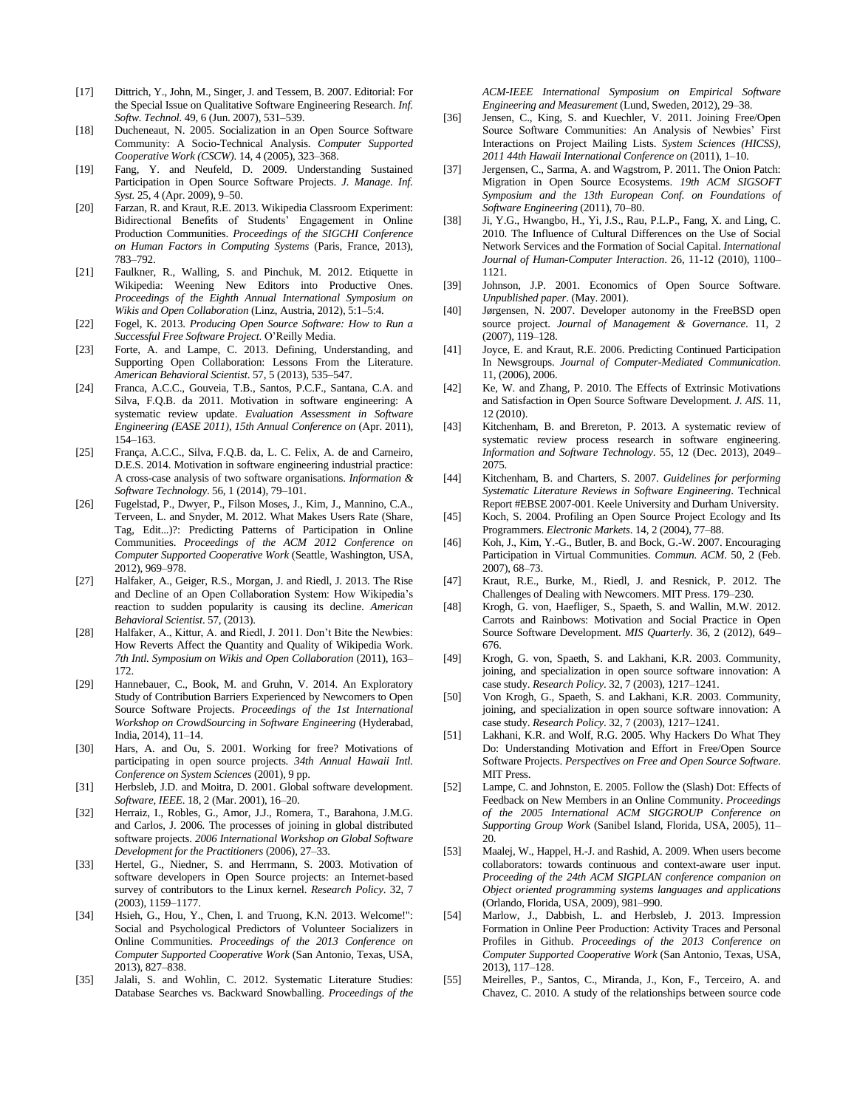- [17] Dittrich, Y., John, M., Singer, J. and Tessem, B. 2007. Editorial: For the Special Issue on Qualitative Software Engineering Research. *Inf. Softw. Technol.* 49, 6 (Jun. 2007), 531–539.
- [18] Ducheneaut, N. 2005. Socialization in an Open Source Software Community: A Socio-Technical Analysis. *Computer Supported Cooperative Work (CSCW)*. 14, 4 (2005), 323–368.
- [19] Fang, Y. and Neufeld, D. 2009. Understanding Sustained Participation in Open Source Software Projects. *J. Manage. Inf. Syst.* 25, 4 (Apr. 2009), 9–50.
- [20] Farzan, R. and Kraut, R.E. 2013. Wikipedia Classroom Experiment: Bidirectional Benefits of Students' Engagement in Online Production Communities. *Proceedings of the SIGCHI Conference on Human Factors in Computing Systems* (Paris, France, 2013), 783–792.
- [21] Faulkner, R., Walling, S. and Pinchuk, M. 2012. Etiquette in Wikipedia: Weening New Editors into Productive Ones. *Proceedings of the Eighth Annual International Symposium on Wikis and Open Collaboration* (Linz, Austria, 2012), 5:1–5:4.
- [22] Fogel, K. 2013. *Producing Open Source Software: How to Run a Successful Free Software Project*. O'Reilly Media.
- [23] Forte, A. and Lampe, C. 2013. Defining, Understanding, and Supporting Open Collaboration: Lessons From the Literature. *American Behavioral Scientist*. 57, 5 (2013), 535–547.
- [24] Franca, A.C.C., Gouveia, T.B., Santos, P.C.F., Santana, C.A. and Silva, F.Q.B. da 2011. Motivation in software engineering: A systematic review update. *Evaluation Assessment in Software Engineering (EASE 2011), 15th Annual Conference on* (Apr. 2011), 154–163.
- [25] França, A.C.C., Silva, F.Q.B. da, L. C. Felix, A. de and Carneiro, D.E.S. 2014. Motivation in software engineering industrial practice: A cross-case analysis of two software organisations. *Information & Software Technology*. 56, 1 (2014), 79–101.
- [26] Fugelstad, P., Dwyer, P., Filson Moses, J., Kim, J., Mannino, C.A., Terveen, L. and Snyder, M. 2012. What Makes Users Rate (Share, Tag, Edit...)?: Predicting Patterns of Participation in Online Communities. *Proceedings of the ACM 2012 Conference on Computer Supported Cooperative Work* (Seattle, Washington, USA, 2012), 969–978.
- [27] Halfaker, A., Geiger, R.S., Morgan, J. and Riedl, J. 2013. The Rise and Decline of an Open Collaboration System: How Wikipedia's reaction to sudden popularity is causing its decline. *American Behavioral Scientist*. 57, (2013).
- [28] Halfaker, A., Kittur, A. and Riedl, J. 2011. Don't Bite the Newbies: How Reverts Affect the Quantity and Quality of Wikipedia Work. *7th Intl. Symposium on Wikis and Open Collaboration* (2011), 163– 172.
- [29] Hannebauer, C., Book, M. and Gruhn, V. 2014. An Exploratory Study of Contribution Barriers Experienced by Newcomers to Open Source Software Projects. *Proceedings of the 1st International Workshop on CrowdSourcing in Software Engineering* (Hyderabad, India, 2014), 11–14.
- [30] Hars, A. and Ou, S. 2001. Working for free? Motivations of participating in open source projects. *34th Annual Hawaii Intl. Conference on System Sciences* (2001), 9 pp.
- [31] Herbsleb, J.D. and Moitra, D. 2001. Global software development. *Software, IEEE*. 18, 2 (Mar. 2001), 16–20.
- [32] Herraiz, I., Robles, G., Amor, J.J., Romera, T., Barahona, J.M.G. and Carlos, J. 2006. The processes of joining in global distributed software projects. *2006 International Workshop on Global Software Development for the Practitioners* (2006), 27–33.
- [33] Hertel, G., Niedner, S. and Herrmann, S. 2003. Motivation of software developers in Open Source projects: an Internet-based survey of contributors to the Linux kernel. *Research Policy*. 32, 7 (2003), 1159–1177.
- [34] Hsieh, G., Hou, Y., Chen, I. and Truong, K.N. 2013. Welcome!": Social and Psychological Predictors of Volunteer Socializers in Online Communities. *Proceedings of the 2013 Conference on Computer Supported Cooperative Work* (San Antonio, Texas, USA, 2013), 827–838.
- [35] Jalali, S. and Wohlin, C. 2012. Systematic Literature Studies: Database Searches vs. Backward Snowballing. *Proceedings of the*

*ACM-IEEE International Symposium on Empirical Software Engineering and Measurement* (Lund, Sweden, 2012), 29–38.

- [36] Jensen, C., King, S. and Kuechler, V. 2011. Joining Free/Open Source Software Communities: An Analysis of Newbies' First Interactions on Project Mailing Lists. *System Sciences (HICSS), 2011 44th Hawaii International Conference on* (2011), 1–10.
- [37] Jergensen, C., Sarma, A. and Wagstrom, P. 2011. The Onion Patch: Migration in Open Source Ecosystems. *19th ACM SIGSOFT Symposium and the 13th European Conf. on Foundations of Software Engineering* (2011), 70–80.
- [38] Ji, Y.G., Hwangbo, H., Yi, J.S., Rau, P.L.P., Fang, X. and Ling, C. 2010. The Influence of Cultural Differences on the Use of Social Network Services and the Formation of Social Capital. *International Journal of Human-Computer Interaction*. 26, 11-12 (2010), 1100– 1121.
- [39] Johnson, J.P. 2001. Economics of Open Source Software. *Unpublished paper*. (May. 2001).
- [40] Jørgensen, N. 2007. Developer autonomy in the FreeBSD open source project. *Journal of Management & Governance*. 11, 2 (2007), 119–128.
- [41] Joyce, E. and Kraut, R.E. 2006. Predicting Continued Participation In Newsgroups. *Journal of Computer-Mediated Communication*. 11, (2006), 2006.
- [42] Ke, W. and Zhang, P. 2010. The Effects of Extrinsic Motivations and Satisfaction in Open Source Software Development. *J. AIS*. 11, 12 (2010).
- [43] Kitchenham, B. and Brereton, P. 2013. A systematic review of systematic review process research in software engineering. *Information and Software Technology*. 55, 12 (Dec. 2013), 2049– 2075.
- [44] Kitchenham, B. and Charters, S. 2007. *Guidelines for performing Systematic Literature Reviews in Software Engineering*. Technical Report #EBSE 2007-001. Keele University and Durham University.
- [45] Koch, S. 2004. Profiling an Open Source Project Ecology and Its Programmers. *Electronic Markets*. 14, 2 (2004), 77–88.
- [46] Koh, J., Kim, Y.-G., Butler, B. and Bock, G.-W. 2007. Encouraging Participation in Virtual Communities. *Commun. ACM*. 50, 2 (Feb. 2007), 68–73.
- [47] Kraut, R.E., Burke, M., Riedl, J. and Resnick, P. 2012. The Challenges of Dealing with Newcomers. MIT Press. 179–230.
- [48] Krogh, G. von, Haefliger, S., Spaeth, S. and Wallin, M.W. 2012. Carrots and Rainbows: Motivation and Social Practice in Open Source Software Development. *MIS Quarterly*. 36, 2 (2012), 649– 676.
- [49] Krogh, G. von, Spaeth, S. and Lakhani, K.R. 2003. Community, joining, and specialization in open source software innovation: A case study. *Research Policy*. 32, 7 (2003), 1217–1241.
- [50] Von Krogh, G., Spaeth, S. and Lakhani, K.R. 2003. Community, joining, and specialization in open source software innovation: A case study. *Research Policy*. 32, 7 (2003), 1217–1241.
- [51] Lakhani, K.R. and Wolf, R.G. 2005. Why Hackers Do What They Do: Understanding Motivation and Effort in Free/Open Source Software Projects. *Perspectives on Free and Open Source Software*. MIT Press.
- [52] Lampe, C. and Johnston, E. 2005. Follow the (Slash) Dot: Effects of Feedback on New Members in an Online Community. *Proceedings of the 2005 International ACM SIGGROUP Conference on Supporting Group Work* (Sanibel Island, Florida, USA, 2005), 11– 20.
- [53] Maalej, W., Happel, H.-J. and Rashid, A. 2009. When users become collaborators: towards continuous and context-aware user input. *Proceeding of the 24th ACM SIGPLAN conference companion on Object oriented programming systems languages and applications* (Orlando, Florida, USA, 2009), 981–990.
- [54] Marlow, J., Dabbish, L. and Herbsleb, J. 2013. Impression Formation in Online Peer Production: Activity Traces and Personal Profiles in Github. *Proceedings of the 2013 Conference on Computer Supported Cooperative Work* (San Antonio, Texas, USA, 2013), 117–128.
- [55] Meirelles, P., Santos, C., Miranda, J., Kon, F., Terceiro, A. and Chavez, C. 2010. A study of the relationships between source code